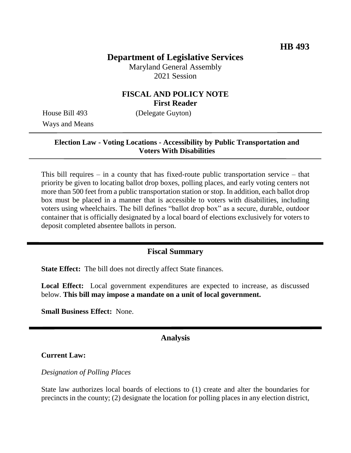# **Department of Legislative Services**

Maryland General Assembly 2021 Session

## **FISCAL AND POLICY NOTE First Reader**

Ways and Means

House Bill 493 (Delegate Guyton)

#### **Election Law - Voting Locations - Accessibility by Public Transportation and Voters With Disabilities**

This bill requires – in a county that has fixed-route public transportation service – that priority be given to locating ballot drop boxes, polling places, and early voting centers not more than 500 feet from a public transportation station or stop. In addition, each ballot drop box must be placed in a manner that is accessible to voters with disabilities, including voters using wheelchairs. The bill defines "ballot drop box" as a secure, durable, outdoor container that is officially designated by a local board of elections exclusively for voters to deposit completed absentee ballots in person.

#### **Fiscal Summary**

**State Effect:** The bill does not directly affect State finances.

**Local Effect:** Local government expenditures are expected to increase, as discussed below. **This bill may impose a mandate on a unit of local government.**

**Small Business Effect:** None.

#### **Analysis**

**Current Law:**

*Designation of Polling Places*

State law authorizes local boards of elections to (1) create and alter the boundaries for precincts in the county; (2) designate the location for polling places in any election district,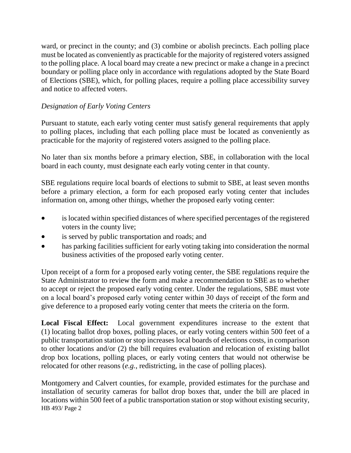ward, or precinct in the county; and (3) combine or abolish precincts. Each polling place must be located as conveniently as practicable for the majority of registered voters assigned to the polling place. A local board may create a new precinct or make a change in a precinct boundary or polling place only in accordance with regulations adopted by the State Board of Elections (SBE), which, for polling places, require a polling place accessibility survey and notice to affected voters.

# *Designation of Early Voting Centers*

Pursuant to statute, each early voting center must satisfy general requirements that apply to polling places, including that each polling place must be located as conveniently as practicable for the majority of registered voters assigned to the polling place.

No later than six months before a primary election, SBE, in collaboration with the local board in each county, must designate each early voting center in that county.

SBE regulations require local boards of elections to submit to SBE, at least seven months before a primary election, a form for each proposed early voting center that includes information on, among other things, whether the proposed early voting center:

- is located within specified distances of where specified percentages of the registered voters in the county live;
- is served by public transportation and roads; and
- has parking facilities sufficient for early voting taking into consideration the normal business activities of the proposed early voting center.

Upon receipt of a form for a proposed early voting center, the SBE regulations require the State Administrator to review the form and make a recommendation to SBE as to whether to accept or reject the proposed early voting center. Under the regulations, SBE must vote on a local board's proposed early voting center within 30 days of receipt of the form and give deference to a proposed early voting center that meets the criteria on the form.

**Local Fiscal Effect:** Local government expenditures increase to the extent that (1) locating ballot drop boxes, polling places, or early voting centers within 500 feet of a public transportation station or stop increases local boards of elections costs, in comparison to other locations and/or (2) the bill requires evaluation and relocation of existing ballot drop box locations, polling places, or early voting centers that would not otherwise be relocated for other reasons (*e.g.*, redistricting, in the case of polling places).

HB 493/ Page 2 Montgomery and Calvert counties, for example, provided estimates for the purchase and installation of security cameras for ballot drop boxes that, under the bill are placed in locations within 500 feet of a public transportation station or stop without existing security,